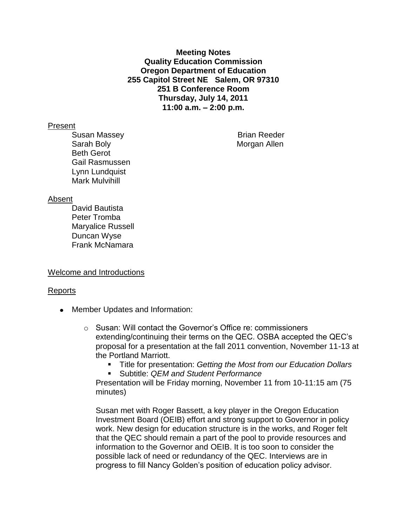**Meeting Notes Quality Education Commission Oregon Department of Education 255 Capitol Street NE Salem, OR 97310 251 B Conference Room Thursday, July 14, 2011 11:00 a.m. – 2:00 p.m.**

#### Present

Susan Massey **Brian Reeder** Brian Reeder Sarah Boly **Morgan Allen** Beth Gerot Gail Rasmussen Lynn Lundquist Mark Mulvihill

#### Absent

David Bautista Peter Tromba Maryalice Russell Duncan Wyse Frank McNamara

## Welcome and Introductions

## Reports

- Member Updates and Information:
	- o Susan: Will contact the Governor's Office re: commissioners extending/continuing their terms on the QEC. OSBA accepted the QEC's proposal for a presentation at the fall 2011 convention, November 11-13 at the Portland Marriott.
		- Title for presentation: *Getting the Most from our Education Dollars*
		- Subtitle: *QEM and Student Performance*

Presentation will be Friday morning, November 11 from 10-11:15 am (75 minutes)

Susan met with Roger Bassett, a key player in the Oregon Education Investment Board (OEIB) effort and strong support to Governor in policy work. New design for education structure is in the works, and Roger felt that the QEC should remain a part of the pool to provide resources and information to the Governor and OEIB. It is too soon to consider the possible lack of need or redundancy of the QEC. Interviews are in progress to fill Nancy Golden's position of education policy advisor.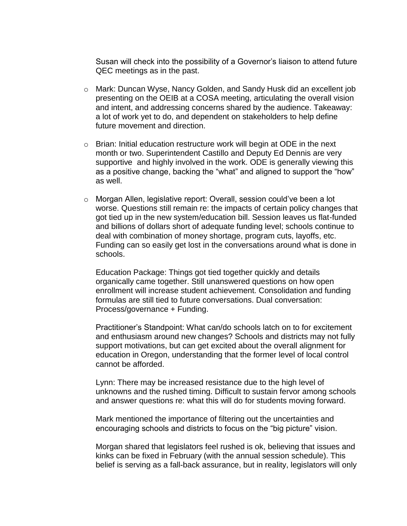Susan will check into the possibility of a Governor's liaison to attend future QEC meetings as in the past.

- o Mark: Duncan Wyse, Nancy Golden, and Sandy Husk did an excellent job presenting on the OEIB at a COSA meeting, articulating the overall vision and intent, and addressing concerns shared by the audience. Takeaway: a lot of work yet to do, and dependent on stakeholders to help define future movement and direction.
- $\circ$  Brian: Initial education restructure work will begin at ODE in the next month or two. Superintendent Castillo and Deputy Ed Dennis are very supportive and highly involved in the work. ODE is generally viewing this as a positive change, backing the "what" and aligned to support the "how" as well.
- o Morgan Allen, legislative report: Overall, session could've been a lot worse. Questions still remain re: the impacts of certain policy changes that got tied up in the new system/education bill. Session leaves us flat-funded and billions of dollars short of adequate funding level; schools continue to deal with combination of money shortage, program cuts, layoffs, etc. Funding can so easily get lost in the conversations around what is done in schools.

Education Package: Things got tied together quickly and details organically came together. Still unanswered questions on how open enrollment will increase student achievement. Consolidation and funding formulas are still tied to future conversations. Dual conversation: Process/governance + Funding.

Practitioner's Standpoint: What can/do schools latch on to for excitement and enthusiasm around new changes? Schools and districts may not fully support motivations, but can get excited about the overall alignment for education in Oregon, understanding that the former level of local control cannot be afforded.

Lynn: There may be increased resistance due to the high level of unknowns and the rushed timing. Difficult to sustain fervor among schools and answer questions re: what this will do for students moving forward.

Mark mentioned the importance of filtering out the uncertainties and encouraging schools and districts to focus on the "big picture" vision.

Morgan shared that legislators feel rushed is ok, believing that issues and kinks can be fixed in February (with the annual session schedule). This belief is serving as a fall-back assurance, but in reality, legislators will only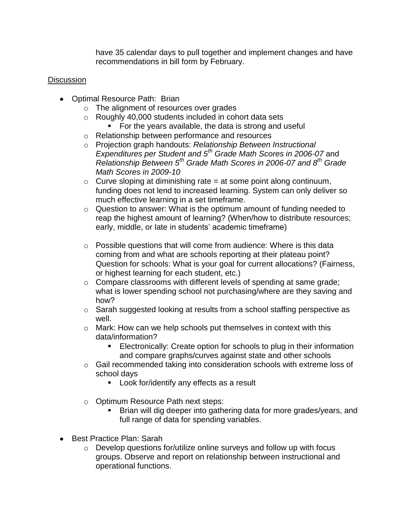have 35 calendar days to pull together and implement changes and have recommendations in bill form by February.

# **Discussion**

- Optimal Resource Path: Brian
	- o The alignment of resources over grades
	- o Roughly 40,000 students included in cohort data sets
		- **For the years available, the data is strong and useful**
	- o Relationship between performance and resources
	- o Projection graph handouts: *Relationship Between Instructional Expenditures per Student and 5th Grade Math Scores in 2006-07* and *Relationship Between 5th Grade Math Scores in 2006-07 and 8th Grade Math Scores in 2009-10*
	- $\circ$  Curve sloping at diminishing rate = at some point along continuum, funding does not lend to increased learning. System can only deliver so much effective learning in a set timeframe.
	- o Question to answer: What is the optimum amount of funding needed to reap the highest amount of learning? (When/how to distribute resources; early, middle, or late in students' academic timeframe)
	- $\circ$  Possible questions that will come from audience: Where is this data coming from and what are schools reporting at their plateau point? Question for schools: What is your goal for current allocations? (Fairness, or highest learning for each student, etc.)
	- o Compare classrooms with different levels of spending at same grade; what is lower spending school not purchasing/where are they saving and how?
	- o Sarah suggested looking at results from a school staffing perspective as well.
	- o Mark: How can we help schools put themselves in context with this data/information?
		- **Electronically: Create option for schools to plug in their information** and compare graphs/curves against state and other schools
	- o Gail recommended taking into consideration schools with extreme loss of school days
		- **Look for/identify any effects as a result**
	- o Optimum Resource Path next steps:
		- Brian will dig deeper into gathering data for more grades/years, and full range of data for spending variables.
- **Best Practice Plan: Sarah** 
	- o Develop questions for/utilize online surveys and follow up with focus groups. Observe and report on relationship between instructional and operational functions.